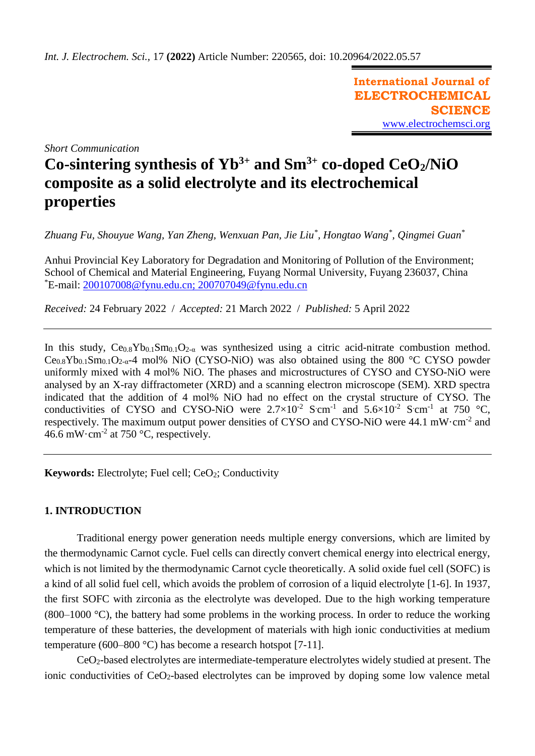**International Journal of ELECTROCHEMICAL SCIENCE** [www.electrochemsci.org](http://www.electrochemsci.org/)

*Short Communication*

# **Co-sintering synthesis of Yb3+ and Sm3+ co-doped CeO2/NiO composite as a solid electrolyte and its electrochemical properties**

*Zhuang Fu, Shouyue Wang, Yan Zheng, Wenxuan Pan, Jie Liu\* , Hongtao Wang\* , Qingmei Guan\**

Anhui Provincial Key Laboratory for Degradation and Monitoring of Pollution of the Environment; School of Chemical and Material Engineering, Fuyang Normal University, Fuyang 236037, China \*E-mail: [200107008@fynu.edu.cn;](mailto:200107008@fynu.edu.cn) [200707049@fynu.edu.cn](mailto:200707049@fynu.edu.cn)

*Received:* 24 February 2022/ *Accepted:* 21 March 2022 / *Published:* 5 April 2022

In this study,  $Ce<sub>0.8</sub>Yb<sub>0.1</sub>Sm<sub>0.1</sub>O<sub>2-\alpha</sub>$  was synthesized using a citric acid-nitrate combustion method.  $Ce<sub>0.8</sub>Yb<sub>0.1</sub>Sm<sub>0.1</sub>O<sub>2-a</sub> -4 mol% NiO (CYSO-NiO) was also obtained using the 800 °C CYSO powder$ uniformly mixed with 4 mol% NiO. The phases and microstructures of CYSO and CYSO-NiO were analysed by an X-ray diffractometer (XRD) and a scanning electron microscope (SEM). XRD spectra indicated that the addition of 4 mol% NiO had no effect on the crystal structure of CYSO. The conductivities of CYSO and CYSO-NiO were  $2.7 \times 10^{-2}$  S cm<sup>-1</sup> and  $5.6 \times 10^{-2}$  S cm<sup>-1</sup> at 750 °C, respectively. The maximum output power densities of CYSO and CYSO-NiO were  $44.1 \text{ mW} \cdot \text{cm}^{-2}$  and 46.6 mW $\cdot$ cm<sup>-2</sup> at 750  $\degree$ C, respectively.

**Keywords:** Electrolyte; Fuel cell; CeO<sub>2</sub>; Conductivity

# **1. INTRODUCTION**

Traditional energy power generation needs multiple energy conversions, which are limited by the thermodynamic Carnot cycle. Fuel cells can directly convert chemical energy into electrical energy, which is not limited by the thermodynamic Carnot cycle theoretically. A solid oxide fuel cell (SOFC) is a kind of all solid fuel cell, which avoids the problem of corrosion of a liquid electrolyte [1-6]. In 1937, the first SOFC with zirconia as the electrolyte was developed. Due to the high working temperature (800–1000 °C), the battery had some problems in the working process. In order to reduce the working temperature of these batteries, the development of materials with high ionic conductivities at medium temperature (600–800 °C) has become a research hotspot [7-11].

CeO2-based electrolytes are intermediate-temperature electrolytes widely studied at present. The ionic conductivities of CeO<sub>2</sub>-based electrolytes can be improved by doping some low valence metal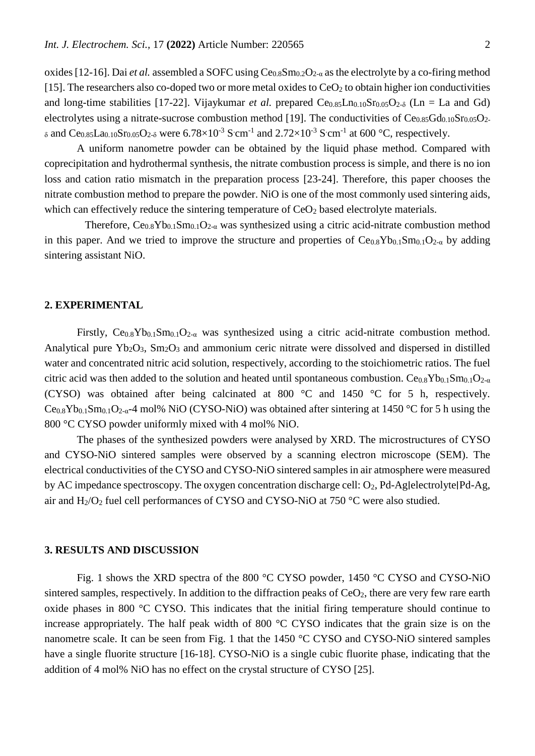oxides [12-16]. Dai *et al.* assembled a SOFC using Ce0.8Sm0.2O2-α as the electrolyte by a co-firing method [15]. The researchers also co-doped two or more metal oxides to  $CeO<sub>2</sub>$  to obtain higher ion conductivities and long-time stabilities [17-22]. Vijaykumar *et al.* prepared  $Ce<sub>0.85</sub>Ln<sub>0.10</sub>Sr<sub>0.05</sub>O<sub>2-δ</sub> (Ln = La and Gd)$ electrolytes using a nitrate-sucrose combustion method [19]. The conductivities of  $Ce<sub>0.85</sub>Gd<sub>0.10</sub>Sr<sub>0.05</sub>O<sub>2</sub>$  $\delta$  and Ce<sub>0.85</sub>La<sub>0.10</sub>Sr<sub>0.05</sub>O<sub>2</sub> $\delta$  were 6.78×10<sup>-3</sup> S cm<sup>-1</sup> and 2.72×10<sup>-3</sup> S cm<sup>-1</sup> at 600 °C, respectively.

A uniform nanometre powder can be obtained by the liquid phase method. Compared with coprecipitation and hydrothermal synthesis, the nitrate combustion process is simple, and there is no ion loss and cation ratio mismatch in the preparation process [23-24]. Therefore, this paper chooses the nitrate combustion method to prepare the powder. NiO is one of the most commonly used sintering aids, which can effectively reduce the sintering temperature of  $CeO<sub>2</sub>$  based electrolyte materials.

Therefore,  $Ce<sub>0.8</sub>Yb<sub>0.1</sub>Sm<sub>0.1</sub>O<sub>2-\alpha</sub>$  was synthesized using a citric acid-nitrate combustion method in this paper. And we tried to improve the structure and properties of  $Ce<sub>0.8</sub>Yb<sub>0.1</sub>Sm<sub>0.1</sub>O<sub>2-\alpha</sub>$  by adding sintering assistant NiO.

#### **2. EXPERIMENTAL**

Firstly,  $Ce<sub>0.8</sub>Yb<sub>0.1</sub>Sm<sub>0.1</sub>O<sub>2-\alpha</sub>$  was synthesized using a citric acid-nitrate combustion method. Analytical pure  $Yb_2O_3$ , Sm<sub>2</sub>O<sub>3</sub> and ammonium ceric nitrate were dissolved and dispersed in distilled water and concentrated nitric acid solution, respectively, according to the stoichiometric ratios. The fuel citric acid was then added to the solution and heated until spontaneous combustion.  $Ce_{0.8}Yb_{0.1}Sm_{0.1}O_{2-\alpha}$ (CYSO) was obtained after being calcinated at 800 °C and 1450 °C for 5 h, respectively.  $Ce<sub>0.8</sub>Yb<sub>0.1</sub>Sm<sub>0.1</sub>O<sub>2-a</sub> -4 mol% NiO (CYSO-NiO) was obtained after sintering at 1450 °C for 5 h using the$ 800 °C CYSO powder uniformly mixed with 4 mol% NiO.

The phases of the synthesized powders were analysed by XRD. The microstructures of CYSO and CYSO-NiO sintered samples were observed by a scanning electron microscope (SEM). The electrical conductivities of the CYSO and CYSO-NiO sintered samples in air atmosphere were measured by AC impedance spectroscopy. The oxygen concentration discharge cell: O2, Pd-Ag∣electrolyte∣Pd-Ag, air and  $H_2/O_2$  fuel cell performances of CYSO and CYSO-NiO at 750 °C were also studied.

### **3. RESULTS AND DISCUSSION**

Fig. 1 shows the XRD spectra of the 800 °C CYSO powder, 1450 °C CYSO and CYSO-NiO sintered samples, respectively. In addition to the diffraction peaks of  $CeO<sub>2</sub>$ , there are very few rare earth oxide phases in 800 °C CYSO. This indicates that the initial firing temperature should continue to increase appropriately. The half peak width of 800 °C CYSO indicates that the grain size is on the nanometre scale. It can be seen from Fig. 1 that the 1450 °C CYSO and CYSO-NiO sintered samples have a single fluorite structure [16-18]. CYSO-NiO is a single cubic fluorite phase, indicating that the addition of 4 mol% NiO has no effect on the crystal structure of CYSO [25].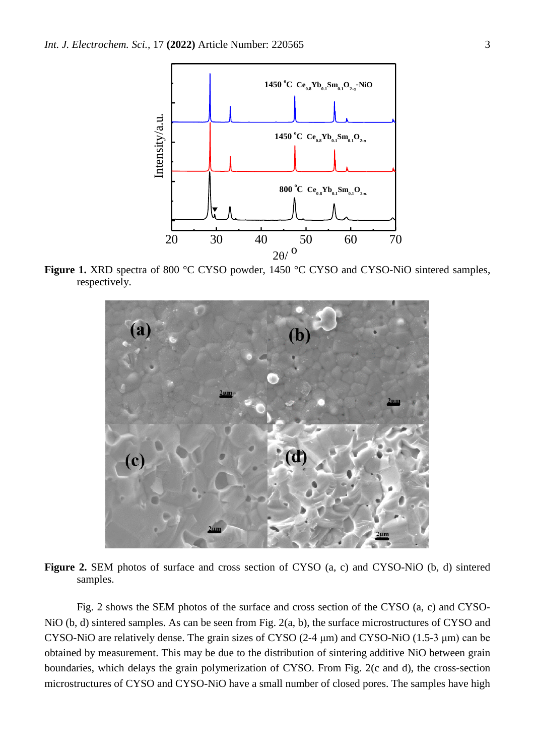

**Figure 1.** XRD spectra of 800 °C CYSO powder, 1450 °C CYSO and CYSO-NiO sintered samples, respectively.



**Figure 2.** SEM photos of surface and cross section of CYSO (a, c) and CYSO-NiO (b, d) sintered samples.

Fig. 2 shows the SEM photos of the surface and cross section of the CYSO (a, c) and CYSO-NiO (b, d) sintered samples. As can be seen from Fig. 2(a, b), the surface microstructures of CYSO and CYSO-NiO are relatively dense. The grain sizes of CYSO (2-4 μm) and CYSO-NiO (1.5-3 μm) can be obtained by measurement. This may be due to the distribution of sintering additive NiO between grain boundaries, which delays the grain polymerization of CYSO. From Fig. 2(c and d), the cross-section microstructures of CYSO and CYSO-NiO have a small number of closed pores. The samples have high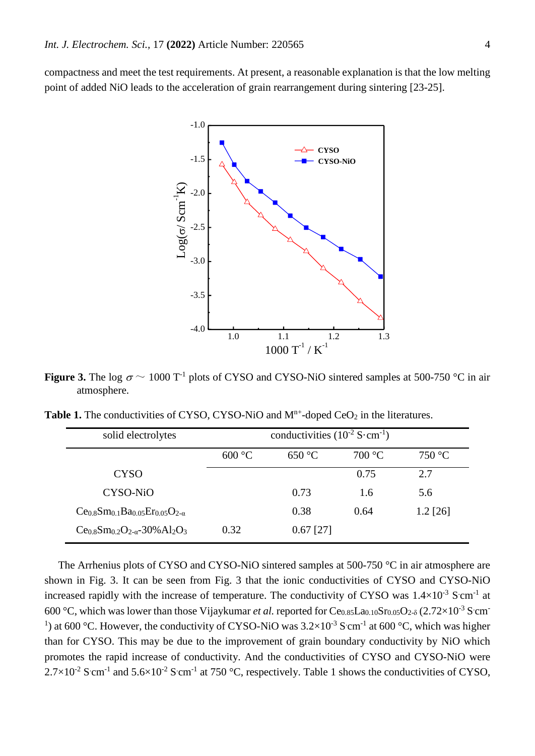compactness and meet the test requirements. At present, a reasonable explanation is that the low melting point of added NiO leads to the acceleration of grain rearrangement during sintering [23-25].



**Figure 3.** The log  $\sigma \sim 1000 \text{ T}^{-1}$  plots of CYSO and CYSO-NiO sintered samples at 500-750 °C in air atmosphere.

**Table 1.** The conductivities of CYSO, CYSO-NiO and  $M<sup>n+</sup>$ -doped CeO<sub>2</sub> in the literatures.

| solid electrolytes           | conductivities $(10^{-2} \text{ S} \cdot \text{cm}^{-1})$ |             |        |            |
|------------------------------|-----------------------------------------------------------|-------------|--------|------------|
|                              | 600 °C                                                    | 650 °C      | 700 °C | 750 °C     |
| <b>CYSO</b>                  |                                                           |             | 0.75   | 2.7        |
| CYSO-NiO                     |                                                           | 0.73        | 1.6    | 5.6        |
| $Ce0.8Sm0.1Ba0.05Er0.05O2-a$ |                                                           | 0.38        | 0.64   | $1.2$ [26] |
| $Ce0.8Sm0.2O2-a - 30% Al2O3$ | 0.32                                                      | $0.67$ [27] |        |            |

The Arrhenius plots of CYSO and CYSO-NiO sintered samples at 500-750 °C in air atmosphere are shown in Fig. 3. It can be seen from Fig. 3 that the ionic conductivities of CYSO and CYSO-NiO increased rapidly with the increase of temperature. The conductivity of CYSO was  $1.4\times10^{-3}$  S cm<sup>-1</sup> at 600 °C, which was lower than those Vijaykumar *et al.* reported for Ce<sub>0.85</sub>La<sub>0.10</sub>Sr<sub>0.05</sub>O<sub>2-δ</sub> (2.72×10<sup>-3</sup> S cm<sup>-</sup> <sup>1</sup>) at 600 °C. However, the conductivity of CYSO-NiO was  $3.2 \times 10^{-3}$  S cm<sup>-1</sup> at 600 °C, which was higher than for CYSO. This may be due to the improvement of grain boundary conductivity by NiO which promotes the rapid increase of conductivity. And the conductivities of CYSO and CYSO-NiO were  $2.7 \times 10^{-2}$  S cm<sup>-1</sup> and  $5.6 \times 10^{-2}$  S cm<sup>-1</sup> at 750 °C, respectively. Table 1 shows the conductivities of CYSO,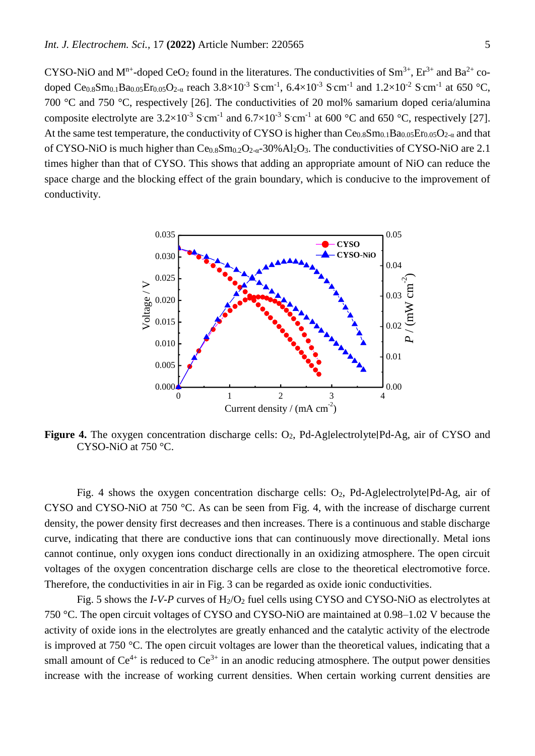CYSO-NiO and M<sup>n+</sup>-doped CeO<sub>2</sub> found in the literatures. The conductivities of Sm<sup>3+</sup>, Er<sup>3+</sup> and Ba<sup>2+</sup> codoped Ce<sub>0.8</sub>Sm<sub>0.1</sub>Ba<sub>0.05</sub>Er<sub>0.05</sub>O<sub>2-α</sub> reach 3.8×10<sup>-3</sup> S·cm<sup>-1</sup>, 6.4×10<sup>-3</sup> S·cm<sup>-1</sup> and 1.2×10<sup>-2</sup> S·cm<sup>-1</sup> at 650 °C, 700 °C and 750 °C, respectively [26]. The conductivities of 20 mol% samarium doped ceria/alumina composite electrolyte are  $3.2 \times 10^{-3}$  S cm<sup>-1</sup> and  $6.7 \times 10^{-3}$  S cm<sup>-1</sup> at 600 °C and 650 °C, respectively [27]. At the same test temperature, the conductivity of CYSO is higher than  $Ce<sub>0.8</sub>Sm<sub>0.1</sub>Ba<sub>0.05</sub>Er<sub>0.05</sub>O<sub>2-\alpha</sub>$  and that of CYSO-NiO is much higher than  $Ce<sub>0.8</sub>Sm<sub>0.2</sub>O<sub>2-\alpha</sub> - 30% Al<sub>2</sub>O<sub>3</sub>$ . The conductivities of CYSO-NiO are 2.1 times higher than that of CYSO. This shows that adding an appropriate amount of NiO can reduce the space charge and the blocking effect of the grain boundary, which is conducive to the improvement of conductivity.



**Figure 4.** The oxygen concentration discharge cells: O2, Pd-Ag∣electrolyte∣Pd-Ag, air of CYSO and CYSO-NiO at 750 °C.

Fig. 4 shows the oxygen concentration discharge cells:  $O_2$ , Pd-Ag|electrolyte|Pd-Ag, air of CYSO and CYSO-NiO at 750 °C. As can be seen from Fig. 4, with the increase of discharge current density, the power density first decreases and then increases. There is a continuous and stable discharge curve, indicating that there are conductive ions that can continuously move directionally. Metal ions cannot continue, only oxygen ions conduct directionally in an oxidizing atmosphere. The open circuit voltages of the oxygen concentration discharge cells are close to the theoretical electromotive force. Therefore, the conductivities in air in Fig. 3 can be regarded as oxide ionic conductivities.

Fig. 5 shows the *I-V-P* curves of H<sub>2</sub>/O<sub>2</sub> fuel cells using CYSO and CYSO-NiO as electrolytes at 750 °C. The open circuit voltages of CYSO and CYSO-NiO are maintained at 0.98–1.02 V because the activity of oxide ions in the electrolytes are greatly enhanced and the catalytic activity of the electrode is improved at 750 °C. The open circuit voltages are lower than the theoretical values, indicating that a small amount of  $Ce^{4+}$  is reduced to  $Ce^{3+}$  in an anodic reducing atmosphere. The output power densities increase with the increase of working current densities. When certain working current densities are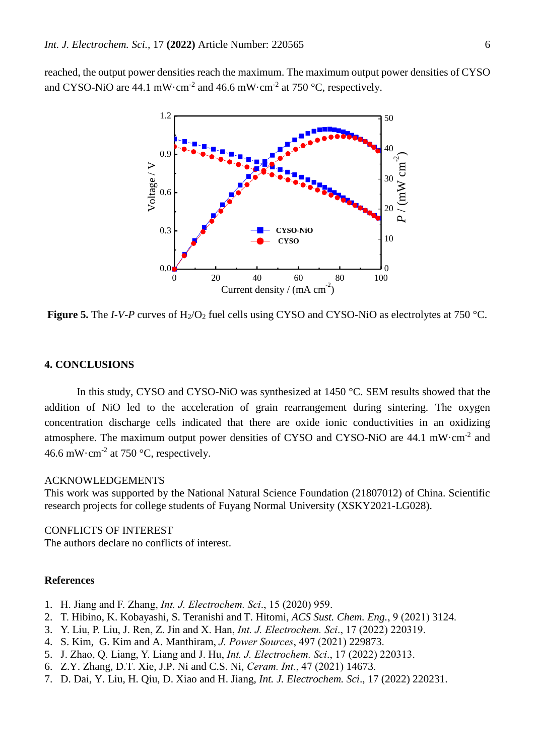reached, the output power densities reach the maximum. The maximum output power densities of CYSO and CYSO-NiO are 44.1 mW $\cdot$ cm<sup>-2</sup> and 46.6 mW $\cdot$ cm<sup>-2</sup> at 750  $\cdot$ C, respectively.



**Figure 5.** The *I*-*V*-*P* curves of H<sub>2</sub>/O<sub>2</sub> fuel cells using CYSO and CYSO-NiO as electrolytes at 750 °C.

## **4. CONCLUSIONS**

In this study, CYSO and CYSO-NiO was synthesized at 1450 °C. SEM results showed that the addition of NiO led to the acceleration of grain rearrangement during sintering. The oxygen concentration discharge cells indicated that there are oxide ionic conductivities in an oxidizing atmosphere. The maximum output power densities of CYSO and CYSO-NiO are 44.1 mW·cm<sup>-2</sup> and 46.6 mW $\cdot$ cm<sup>-2</sup> at 750  $\degree$ C, respectively.

#### ACKNOWLEDGEMENTS

This work was supported by the National Natural Science Foundation (21807012) of China. Scientific research projects for college students of Fuyang Normal University (XSKY2021-LG028).

### CONFLICTS OF INTEREST

The authors declare no conflicts of interest.

#### **References**

- 1. H. Jiang and F. Zhang, *Int. J. Electrochem. Sci*., 15 (2020) 959.
- 2. T. Hibino, [K.](https://webvpn.fynu.edu.cn/http/77726476706e69737468656265737421f1e7518f69276d52710e82a297422f30a0c6fa320a29ae/OutboundService.do?SID=7EqeQ47jNtUroiTF3zP&mode=rrcAuthorRecordService&action=go&product=WOS&lang=zh_CN&daisIds=2071534) Kobayashi, [S.](https://webvpn.fynu.edu.cn/http/77726476706e69737468656265737421f1e7518f69276d52710e82a297422f30a0c6fa320a29ae/OutboundService.do?SID=7EqeQ47jNtUroiTF3zP&mode=rrcAuthorRecordService&action=go&product=WOS&lang=zh_CN&daisIds=1372853) Teranishi and T. Hitomi, *ACS Sust. Chem. Eng.*, 9 (2021) 3124.
- 3. Y. Liu, P. Liu, J. Ren, Z. Jin and X. Han, *Int. J. Electrochem. Sci*., 17 (2022) 220319.
- 4. [S.](https://webvpn.fynu.edu.cn/http/77726476706e69737468656265737421f1e7518f69276d52710e82a297422f30a0c6fa320a29ae/OutboundService.do?SID=5FHdnDq33Nl43cY3URe&mode=rrcAuthorRecordService&action=go&product=WOS&lang=zh_CN&daisIds=42756929) Kim, [G.](https://webvpn.fynu.edu.cn/http/77726476706e69737468656265737421f1e7518f69276d52710e82a297422f30a0c6fa320a29ae/OutboundService.do?SID=5FHdnDq33Nl43cY3URe&mode=rrcAuthorRecordService&action=go&product=WOS&lang=zh_CN&daisIds=35889326) Kim and [A.](https://webvpn.fynu.edu.cn/http/77726476706e69737468656265737421f1e7518f69276d52710e82a297422f30a0c6fa320a29ae/OutboundService.do?SID=5FHdnDq33Nl43cY3URe&mode=rrcAuthorRecordService&action=go&product=WOS&lang=zh_CN&daisIds=35391798) Manthiram, *J. Power Sources*, 497 (2021) 229873.
- 5. J. Zhao, Q. Liang, Y. Liang and J. Hu, *Int. J. Electrochem. Sci*., 17 (2022) 220313.
- 6. [Z.Y.](https://webvpn.fynu.edu.cn/http/77726476706e69737468656265737421f1e7518f69276d52710e82a297422f30a0c6fa320a29ae/OutboundService.do?SID=5FHdnDq33Nl43cY3URe&mode=rrcAuthorRecordService&action=go&product=WOS&lang=zh_CN&daisIds=28991788) Zhang, [D.T.](https://webvpn.fynu.edu.cn/http/77726476706e69737468656265737421f1e7518f69276d52710e82a297422f30a0c6fa320a29ae/OutboundService.do?SID=5FHdnDq33Nl43cY3URe&mode=rrcAuthorRecordService&action=go&product=WOS&lang=zh_CN&daisIds=483044) Xie, [J.P.](https://webvpn.fynu.edu.cn/http/77726476706e69737468656265737421f1e7518f69276d52710e82a297422f30a0c6fa320a29ae/OutboundService.do?SID=5FHdnDq33Nl43cY3URe&mode=rrcAuthorRecordService&action=go&product=WOS&lang=zh_CN&daisIds=1494782) Ni and [C.S.](https://webvpn.fynu.edu.cn/http/77726476706e69737468656265737421f1e7518f69276d52710e82a297422f30a0c6fa320a29ae/OutboundService.do?SID=5FHdnDq33Nl43cY3URe&mode=rrcAuthorRecordService&action=go&product=WOS&lang=zh_CN&daisIds=32035492) Ni, *Ceram. Int.*, 47 (2021) 14673.
- 7. D. Dai, Y. Liu, H. Qiu, D. Xiao and H. Jiang, *Int. J. Electrochem. Sci*., 17 (2022) 220231.